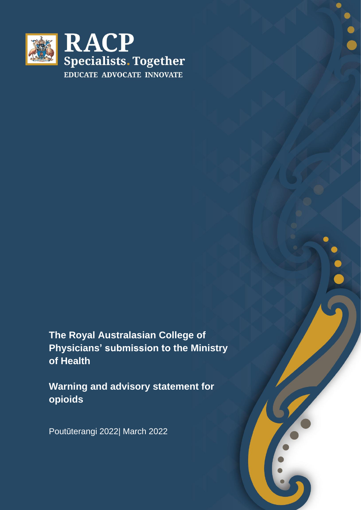

**The Royal Australasian College of Physicians' submission to the Ministry of Health**

**Warning and advisory statement for opioids**

Poutūterangi 2022| March 2022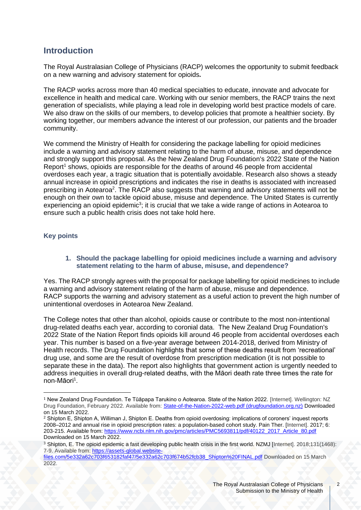# **Introduction**

The Royal Australasian College of Physicians (RACP) welcomes the opportunity to submit feedback on a new warning and advisory statement for opioids**.**

The RACP works across more than 40 medical specialties to educate, innovate and advocate for excellence in health and medical care. Working with our senior members, the RACP trains the next generation of specialists, while playing a lead role in developing world best practice models of care. We also draw on the skills of our members, to develop policies that promote a healthier society. By working together, our members advance the interest of our profession, our patients and the broader community.

<span id="page-1-0"></span>We commend the Ministry of Health for considering the package labelling for opioid medicines include a warning and advisory statement relating to the harm of abuse, misuse, and dependence and strongly support this proposal. As the New Zealand Drug Foundation's 2022 State of the Nation Report<sup>1</sup> shows, opioids are responsible for the deaths of around 46 people from accidental overdoses each year, a tragic situation that is potentially avoidable. Research also shows a steady annual increase in opioid prescriptions and indicates the rise in deaths is associated with increased prescribing in Aotearoa<sup>2</sup>. The RACP also suggests that warning and advisory statements will not be enough on their own to tackle opioid abuse, misuse and dependence. The United States is currently experiencing an opioid epidemic<sup>3</sup>; it is crucial that we take a wide range of actions in Aotearoa to ensure such a public health crisis does not take hold here.

## **Key points**

#### <span id="page-1-1"></span>**1. Should the package labelling for opioid medicines include a warning and advisory statement relating to the harm of abuse, misuse, and dependence?**

Yes. The RACP strongly agrees with the proposal for package labelling for opioid medicines to include a warning and advisory statement relating of the harm of abuse, misuse and dependence. RACP supports the warning and advisory statement as a useful action to prevent the high number of unintentional overdoses in Aotearoa New Zealand.

The College notes that other than alcohol, opioids cause or contribute to the most non-intentional drug-related deaths each year, according to coronial data. The New Zealand Drug Foundation's 2022 State of the Nation Report finds opioids kill around 46 people from accidental overdoses each year. This number is based on a five-year average between 2014-2018, derived from Ministry of Health records. The Drug Foundation highlights that some of these deaths result from 'recreational' drug use, and some are the result of overdose from prescription medication (it is not possible to separate these in the data). The report also highlights that government action is urgently needed to address inequities in overall drug-related deaths, with the Māori death rate three times the rate for non-Māo[ri](#page-1-0)<sup>1</sup>.

<sup>1</sup> New Zealand Drug Foundation. Te Tūāpapa Tarukino o Aotearoa. State of the Nation 2022. [Internet]. Wellington: NZ Drug Foundation, February 2022. Available from[: State-of-the-Nation-2022-web.pdf \(drugfoundation.org.nz\)](https://www.drugfoundation.org.nz/assets/uploads/2022-uploads/State-of-the-Nation-2022-web.pdf) Downloaded on 15 March 2022.

<sup>2</sup> Shipton E, Shipton A, Williman J, Shipton E. Deaths from opioid overdosing: implications of coroners' inquest reports 2008–2012 and annual rise in opioid prescription rates: a population-based cohort study. Pain Ther. [Internet]. 2017; 6: 203-215. Available from: [https://www.ncbi.nlm.nih.gov/pmc/articles/PMC5693811/pdf/40122\\_2017\\_Article\\_80.pdf](https://www.ncbi.nlm.nih.gov/pmc/articles/PMC5693811/pdf/40122_2017_Article_80.pdf) Downloaded on 15 March 2022.

<sup>3</sup> Shipton, E. The opioid epidemic a fast developing public health crisis in the first world. NZMJ [Internet]. 2018;131(1468): 7-9. Available from: [https://assets-global.website-](https://assets-global.website-files.com/5e332a62c703f653182faf47/5e332a62c703f674b52fcb38_Shipton%20FINAL.pdf)

[files.com/5e332a62c703f653182faf47/5e332a62c703f674b52fcb38\\_Shipton%20FINAL.pdf](https://assets-global.website-files.com/5e332a62c703f653182faf47/5e332a62c703f674b52fcb38_Shipton%20FINAL.pdf) Downloaded on 15 March 2022.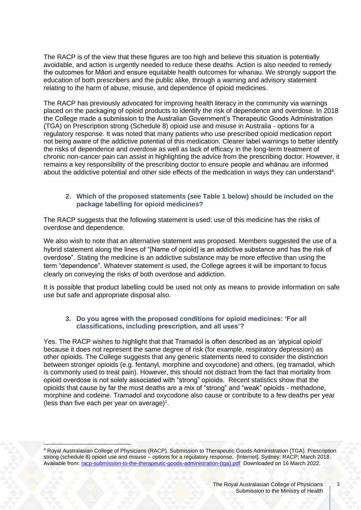The RACP is of the view that these figures are too high and believe this situation is potentially avoidable, and action is urgently needed to reduce these deaths. Action is also needed to remedy the outcomes for Māori and ensure equitable health outcomes for whanau. We strongly support the education of both prescribers and the public alike, through a warning and advisory statement relating to the harm of abuse, misuse, and dependence of opioid medicines.

The RACP has previously advocated for improving health literacy in the community via warnings placed on the packaging of opioid products to identify the risk of dependence and overdose. In 2018 the College made a submission to the Australian Government's Therapeutic Goods Administration (TGA) on Prescription strong (Schedule 8) opioid use and misuse in Australia - options for a regulatory response. It was noted that many patients who use prescribed opioid medication report not being aware of the addictive potential of this medication. Clearer label warnings to better identify the risks of dependence and overdose as well as lack of efficacy in the long-term treatment of chronic non-cancer pain can assist in highlighting the advice from the prescribing doctor. However, it remains a key responsibility of the prescribing doctor to ensure people and whānau are informed about the addictive potential and other side effects of the medication in ways they can understand<sup>4</sup>.

### <span id="page-2-0"></span>**2. Which of the proposed statements (see Table 1 below) should be included on the package labelling for opioid medicines?**

The RACP suggests that the following statement is used: use of this medicine has the risks of overdose and dependence.

We also wish to note that an alternative statement was proposed. Members suggested the use of a hybrid statement along the lines of "[Name of opioid] is an addictive substance and has the risk of overdose". Stating the medicine is an addictive substance may be more effective than using the term "dependence". Whatever statement is used, the College agrees it will be important to focus clearly on conveying the risks of both overdose and addiction.

It is possible that product labelling could be used not only as means to provide information on safe use but safe and appropriate disposal also.

#### **3. Do you agree with the proposed conditions for opioid medicines: 'For all classifications, including prescription, and all uses'?**

Yes. The RACP wishes to highlight that that Tramadol is often described as an 'atypical opioid' because it does not represent the same degree of risk (for example, respiratory depression) as other opioids. The College suggests that any generic statements need to consider the distinction between stronger opioids (e.g. fentanyl, morphine and oxycodone) and others, (eg tramadol, which is commonly used to treat pain). However, this should not distract from the fact that mortality from opioid overdose is not solely associated with "strong" opioids. Recent statistics show that the opioids that cause by far the most deaths are a mix of "strong" and "weak" opioids - methadone, morphine and codeine. Tramadol and oxycodone also cause or contribute to a few deaths per year (less than five each per year on average) $<sup>1</sup>$  $<sup>1</sup>$  $<sup>1</sup>$ .</sup>

<sup>4</sup> Royal Australasian College of Physicians (RACP). Submission to Therapeutic Goods Administration (TGA). Prescription strong (schedule 8) opioid use and misuse – options for a regulatory response. [Internet]. Sydney: RACP; March 2018. Available from: [racp-submission-to-the-therapeutic-goods-administration-\(tga\).pdf](https://www.racp.edu.au/docs/default-source/advocacy-library/racp-submission-to-the-therapeutic-goods-administration-(tga).pdf) Downloaded on 16 March 2022.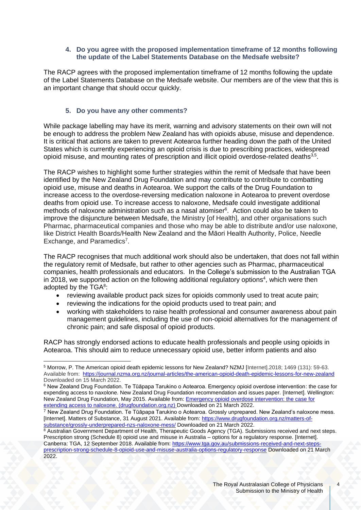#### **4. Do you agree with the proposed implementation timeframe of 12 months following the update of the Label Statements Database on the Medsafe website?**

The RACP agrees with the proposed implementation timeframe of 12 months following the update of the Label Statements Database on the Medsafe website. Our members are of the view that this is an important change that should occur quickly.

### **5. Do you have any other comments?**

While package labelling may have its merit, warning and advisory statements on their own will not be enough to address the problem New Zealand has with opioids abuse, misuse and dependence. It is critical that actions are taken to prevent Aotearoa further heading down the path of the United States which is currently experiencing an opioid crisis is due to prescribing practices, widespread opioid misuse, and mounting rates of prescription and illicit opioid overdose-related deaths<sup>[3,](#page-1-1)5</sup>.

The RACP wishes to highlight some further strategies within the remit of Medsafe that have been identified by the New Zealand Drug Foundation and may contribute to contribute to combatting opioid use, misuse and deaths in Aotearoa. We support the calls of the Drug Foundation to increase access to the overdose-reversing medication naloxone in Aotearoa to prevent overdose deaths from opioid use. To increase access to naloxone, Medsafe could investigate additional methods of naloxone administration such as a nasal atomiser<sup>6</sup>. Action could also be taken to improve the disjuncture between Medsafe, the Ministry [of Health], and other organisations such Pharmac, pharmaceutical companies and those who may be able to distribute and/or use naloxone, like District Health Boards/Health New Zealand and the Māori Health Authority, Police, Needle Exchange, and Paramedics<sup>7</sup>.

The RACP recognises that much additional work should also be undertaken, that does not fall within the regulatory remit of Medsafe, but rather to other agencies such as Pharmac, pharmaceutical companies, health professionals and educators. In the College's submission to the Australian TGA in 2018, we supported action on the following additional regulatory optio[ns](#page-2-0)<sup>4</sup>, which were then adopted by the  $TGA^8$ :

- reviewing available product pack sizes for opioids commonly used to treat acute pain;
- reviewing the indications for the opioid products used to treat pain; and
- working with stakeholders to raise health professional and consumer awareness about pain management guidelines, including the use of non-opioid alternatives for the management of chronic pain; and safe disposal of opioid products.

RACP has strongly endorsed actions to educate health professionals and people using opioids in Aotearoa. This should aim to reduce unnecessary opioid use, better inform patients and also

<sup>5</sup> Morrow, P. The American opioid death epidemic lessons for New Zealand? NZMJ [Internet].2018; 1469 (131): 59-63. Available from:<https://journal.nzma.org.nz/journal-articles/the-american-opioid-death-epidemic-lessons-for-new-zealand> Downloaded on 15 March 2022.

<sup>6</sup> New Zealand Drug Foundation. Te Tūāpapa Tarukino o Aotearoa. Emergency opioid overdose intervention: the case for expending access to naxolone. New Zealand Drug Foundation recommendation and issues paper. [Internet]. Wellington: New Zealand Drug Foundation, May 2015. Available from: **Emergency opioid overdose intervention: the case for** [extending access to naloxone. \(drugfoundation.org.nz\)](https://www.drugfoundation.org.nz/assets/uploads/Emergency-opioid-overdose-intervention-the-case-for-extending-access-to-naloxone.pdf) Downloaded on 21 March 2022.

<sup>7</sup> New Zealand Drug Foundation. Te Tūāpapa Tarukino o Aotearoa. Grossly unprepared. New Zealand's naloxone mess. [Internet]. Matters of Substance, 31 August 2021. Available from[: https://www.drugfoundation.org.nz/matters-of](https://www.drugfoundation.org.nz/matters-of-substance/grossly-underprepared-nzs-naloxone-mess/)[substance/grossly-underprepared-nzs-naloxone-mess/](https://www.drugfoundation.org.nz/matters-of-substance/grossly-underprepared-nzs-naloxone-mess/) Downloaded on 21 March 2022.

<sup>&</sup>lt;sup>8</sup> Australian Government Department of Health, Therapeutic Goods Agency (TGA). Submissions received and next steps. Prescription strong (Schedule 8) opioid use and misuse in Australia – options for a regulatory response. [Internet]. Canberra: TGA, 12 September 2018. Available from: [https://www.tga.gov.au/submissions-received-and-next-steps](https://www.tga.gov.au/submissions-received-and-next-steps-prescription-strong-schedule-8-opioid-use-and-misuse-australia-options-regulatory-response)[prescription-strong-schedule-8-opioid-use-and-misuse-australia-options-regulatory-response](https://www.tga.gov.au/submissions-received-and-next-steps-prescription-strong-schedule-8-opioid-use-and-misuse-australia-options-regulatory-response) Downloaded on 21 March 2022.